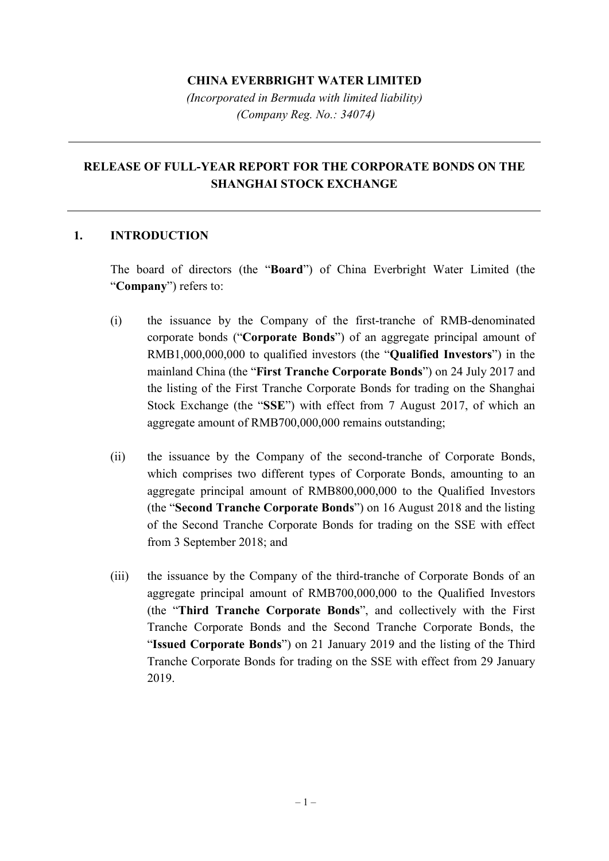### **CHINA EVERBRIGHT WATER LIMITED**

*(Incorporated in Bermuda with limited liability) (Company Reg. No.: 34074)*

# **RELEASE OF FULL-YEAR REPORT FOR THE CORPORATE BONDS ON THE SHANGHAI STOCK EXCHANGE**

#### **1. INTRODUCTION**

The board of directors (the "**Board**") of China Everbright Water Limited (the "**Company**") refers to:

- (i) the issuance by the Company of the first-tranche of RMB-denominated corporate bonds ("**Corporate Bonds**") of an aggregate principal amount of RMB1,000,000,000 to qualified investors (the "**Qualified Investors**") in the mainland China (the "**First Tranche Corporate Bonds**") on 24 July 2017 and the listing of the First Tranche Corporate Bonds for trading on the Shanghai Stock Exchange (the "**SSE**") with effect from 7 August 2017, of which an aggregate amount of RMB700,000,000 remains outstanding;
- (ii) the issuance by the Company of the second-tranche of Corporate Bonds, which comprises two different types of Corporate Bonds, amounting to an aggregate principal amount of RMB800,000,000 to the Qualified Investors (the "**Second Tranche Corporate Bonds**") on 16 August 2018 and the listing of the Second Tranche Corporate Bonds for trading on the SSE with effect from 3 September 2018; and
- (iii) the issuance by the Company of the third-tranche of Corporate Bonds of an aggregate principal amount of RMB700,000,000 to the Qualified Investors (the "**Third Tranche Corporate Bonds**", and collectively with the First Tranche Corporate Bonds and the Second Tranche Corporate Bonds, the "**Issued Corporate Bonds**") on 21 January 2019 and the listing of the Third Tranche Corporate Bonds for trading on the SSE with effect from 29 January 2019.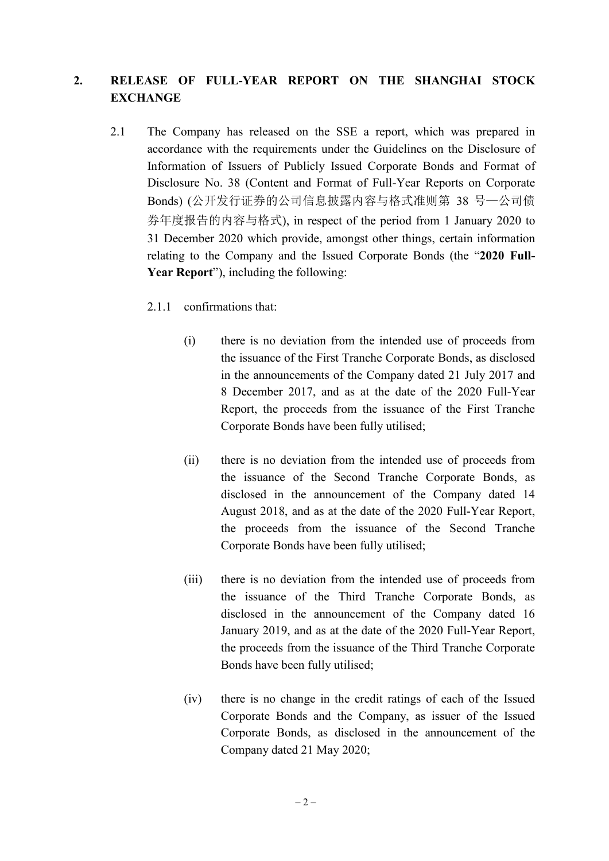# **2. RELEASE OF FULL-YEAR REPORT ON THE SHANGHAI STOCK EXCHANGE**

- 2.1 The Company has released on the SSE a report, which was prepared in accordance with the requirements under the Guidelines on the Disclosure of Information of Issuers of Publicly Issued Corporate Bonds and Format of Disclosure No. 38 (Content and Format of Full-Year Reports on Corporate Bonds) (公开发行证券的公司信息披露内容与格式准则第 38 号—公司债 券年度报告的内容与格式), in respect of the period from 1 January 2020 to 31 December 2020 which provide, amongst other things, certain information relating to the Company and the Issued Corporate Bonds (the "**2020 Full-Year Report**"), including the following:
	- 2.1.1 confirmations that:
		- (i) there is no deviation from the intended use of proceeds from the issuance of the First Tranche Corporate Bonds, as disclosed in the announcements of the Company dated 21 July 2017 and 8 December 2017, and as at the date of the 2020 Full-Year Report, the proceeds from the issuance of the First Tranche Corporate Bonds have been fully utilised;
		- (ii) there is no deviation from the intended use of proceeds from the issuance of the Second Tranche Corporate Bonds, as disclosed in the announcement of the Company dated 14 August 2018, and as at the date of the 2020 Full-Year Report, the proceeds from the issuance of the Second Tranche Corporate Bonds have been fully utilised;
		- (iii) there is no deviation from the intended use of proceeds from the issuance of the Third Tranche Corporate Bonds, as disclosed in the announcement of the Company dated 16 January 2019, and as at the date of the 2020 Full-Year Report, the proceeds from the issuance of the Third Tranche Corporate Bonds have been fully utilised;
		- (iv) there is no change in the credit ratings of each of the Issued Corporate Bonds and the Company, as issuer of the Issued Corporate Bonds, as disclosed in the announcement of the Company dated 21 May 2020;